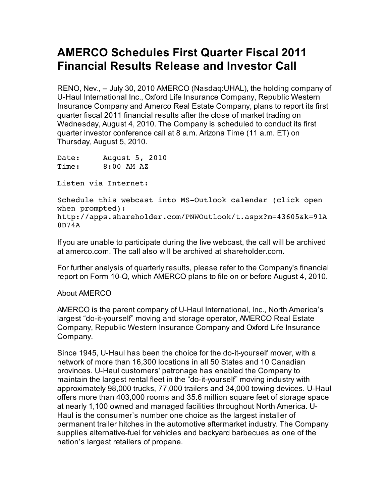## **AMERCO Schedules First Quarter Fiscal 2011 Financial Results Release and Investor Call**

RENO, Nev., -- July 30, 2010 AMERCO (Nasdaq:UHAL), the holding company of U-Haul International Inc., Oxford Life Insurance Company, Republic Western Insurance Company and Amerco Real Estate Company, plans to report its first quarter fiscal 2011 financial results after the close of market trading on Wednesday, August 4, 2010. The Company is scheduled to conduct its first quarter investor conference call at 8 a.m. Arizona Time (11 a.m. ET) on Thursday, August 5, 2010.

Date: August 5, 2010 Time: 8:00 AM AZ

Listen via Internet:

Schedule this webcast into MS-Outlook calendar (click open when prompted): http://apps.shareholder.com/PNWOutlook/t.aspx?m=43605&k=91A 8D74A

If you are unable to participate during the live webcast, the call will be archived at amerco.com. The call also will be archived at shareholder.com.

For further analysis of quarterly results, please refer to the Company's financial report on Form 10-Q, which AMERCO plans to file on or before August 4, 2010.

## About AMERCO

AMERCO is the parent company of U-Haul International, Inc., North America's largest "do-it-yourself" moving and storage operator, AMERCO Real Estate Company, Republic Western Insurance Company and Oxford Life Insurance Company.

Since 1945, U-Haul has been the choice for the do-it-yourself mover, with a network of more than 16,300 locations in all 50 States and 10 Canadian provinces. U-Haul customers' patronage has enabled the Company to maintain the largest rental fleet in the "do-it-yourself" moving industry with approximately 98,000 trucks, 77,000 trailers and 34,000 towing devices. U-Haul offers more than 403,000 rooms and 35.6 million square feet of storage space at nearly 1,100 owned and managed facilities throughout North America. U-Haul is the consumer's number one choice as the largest installer of permanent trailer hitches in the automotive aftermarket industry. The Company supplies alternative-fuel for vehicles and backyard barbecues as one of the nation's largest retailers of propane.